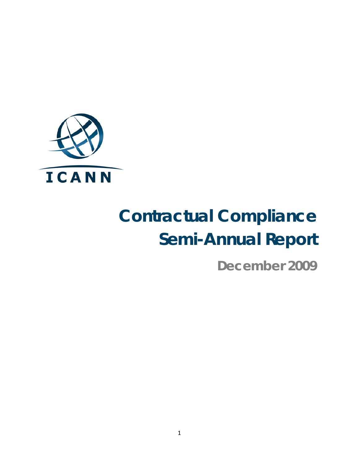

# **Contractual Compliance Semi-Annual Report**

**December 2009**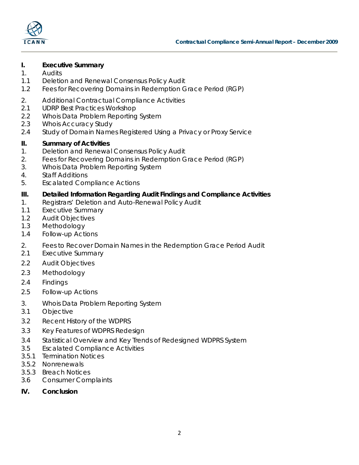

#### **I. Executive Summary**

- 1. Audits
- 1.1 Deletion and Renewal Consensus Policy Audit
- 1.2 Fees for Recovering Domains in Redemption Grace Period (RGP)
- 2. Additional Contractual Compliance Activities
- 2.1 UDRP Best Practices Workshop
- 2.2 Whois Data Problem Reporting System
- 2.3 Whois Accuracy Study
- 2.4 Study of Domain Names Registered Using a Privacy or Proxy Service

#### **II. Summary of Activities**

- 1. Deletion and Renewal Consensus Policy Audit
- 2. Fees for Recovering Domains in Redemption Grace Period (RGP)
- 3. Whois Data Problem Reporting System
- 4. Staff Additions
- 5. Escalated Compliance Actions

#### **III. Detailed Information Regarding Audit Findings and Compliance Activities**

- 1. Registrars' Deletion and Auto-Renewal Policy Audit
- 1.1 Executive Summary
- 1.2 Audit Objectives
- 1.3 Methodology
- 1.4 Follow-up Actions
- 2. Fees to Recover Domain Names in the Redemption Grace Period Audit
- 2.1 Executive Summary
- 2.2 Audit Objectives
- 2.3 Methodology
- 2.4 Findings
- 2.5 Follow-up Actions
- 3. Whois Data Problem Reporting System
- 3.1 Objective
- 3.2 Recent History of the WDPRS
- 3.3 Key Features of WDPRS Redesign
- 3.4 Statistical Overview and Key Trends of Redesigned WDPRS System
- 3.5 Escalated Compliance Activities
- 3.5.1 Termination Notices
- 3.5.2 Nonrenewals
- 3.5.3 Breach Notices
- 3.6 Consumer Complaints
- **IV. Conclusion**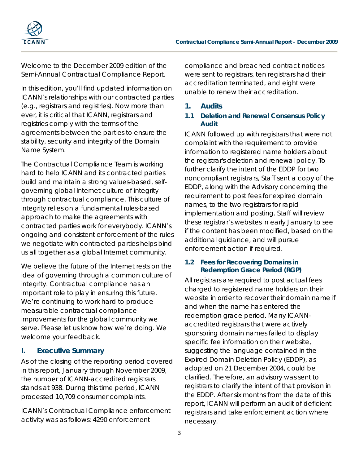



Welcome to the December 2009 edition of the Semi-Annual Contractual Compliance Report.

In this edition, you'll find updated information on ICANN's relationships with our contracted parties (e.g., registrars and registries). Now more than ever, it is critical that ICANN, registrars and registries comply with the terms of the agreements between the parties to ensure the stability, security and integrity of the Domain Name System.

The Contractual Compliance Team is working hard to help ICANN and its contracted parties build and maintain a strong values-based, selfgoverning global Internet culture of integrity through contractual compliance. This culture of integrity relies on a fundamental rules-based approach to make the agreements with contracted parties work for everybody. ICANN's ongoing and consistent enforcement of the rules we negotiate with contracted parties helps bind us all together as a global Internet community.

We believe the future of the Internet rests on the idea of governing through a common culture of integrity. Contractual compliance has an important role to play in ensuring this future. We're continuing to work hard to produce measurable contractual compliance improvements for the global community we serve. Please let us know how we're doing. We welcome your feedback.

# **I. Executive Summary**

As of the closing of the reporting period covered in this report, January through November 2009, the number of ICANN-accredited registrars stands at 938. During this time period, ICANN processed 10,709 consumer complaints.

ICANN's Contractual Compliance enforcement activity was as follows: 4290 enforcement

compliance and breached contract notices were sent to registrars, ten registrars had their accreditation terminated, and eight were unable to renew their accreditation.

# **1. Audits**

#### **1.1 Deletion and Renewal Consensus Policy Audit**

ICANN followed up with registrars that were not complaint with the requirement to provide information to registered name holders about the registrar's deletion and renewal policy. To further clarify the intent of the EDDP for two noncompliant registrars, Staff sent a copy of the EDDP, along with the Advisory concerning the requirement to post fees for expired domain names, to the two registrars for rapid implementation and posting. Staff will review these registrar's websites in early January to see if the content has been modified, based on the additional guidance, and will pursue enforcement action if required.

#### **1.2 Fees for Recovering Domains in Redemption Grace Period (RGP)**

All registrars are required to post actual fees charged to registered name holders on their website in order to recover their domain name if and when the name has entered the redemption grace period. Many ICANNaccredited registrars that were actively sponsoring domain names failed to display specific fee information on their website, suggesting the language contained in the Expired Domain Deletion Policy (EDDP), as adopted on 21 December 2004, could be clarified. Therefore, an advisory was sent to registrars to clarify the intent of that provision in the EDDP. After six months from the date of this report, ICANN will perform an audit of deficient registrars and take enforcement action where necessary.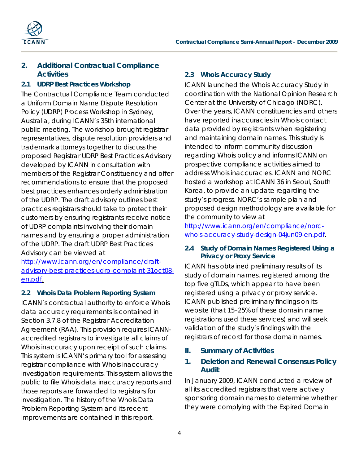



# **2. Additional Contractual Compliance Activities**

# **2.1 UDRP Best Practices Workshop**

The Contractual Compliance Team conducted a Uniform Domain Name Dispute Resolution Policy (UDRP) Process Workshop in Sydney, Australia, during ICANN's 35th international public meeting. The workshop brought registrar representatives, dispute resolution providers and trademark attorneys together to discuss the proposed Registrar UDRP Best Practices Advisory developed by ICANN in consultation with members of the Registrar Constituency and offer recommendations to ensure that the proposed best practices enhances orderly administration of the UDRP. The draft advisory outlines best practices registrars should take to protect their customers by ensuring registrants receive notice of UDRP complaints involving their domain names and by ensuring a proper administration of the UDRP. The draft UDRP Best Practices Advisory can be viewed at

[http://www.icann.org/en/compliance/draft](http://www.icann.org/en/compliance/draft-advisory-best-practices-udrp-complaint-31oct08-en.pdf)[advisory-best-practices-udrp-complaint-31oct08](http://www.icann.org/en/compliance/draft-advisory-best-practices-udrp-complaint-31oct08-en.pdf) [en.pdf.](http://www.icann.org/en/compliance/draft-advisory-best-practices-udrp-complaint-31oct08-en.pdf)

# **2.2 Whois Data Problem Reporting System**

ICANN's contractual authority to enforce Whois data accuracy requirements is contained in Section 3.7.8 of the Registrar Accreditation Agreement (RAA). This provision requires ICANNaccredited registrars to investigate all claims of Whois inaccuracy upon receipt of such claims. This system is ICANN's primary tool for assessing registrar compliance with Whois inaccuracy investigation requirements. This system allows the public to file Whois data inaccuracy reports and those reports are forwarded to registrars for investigation. The history of the Whois Data Problem Reporting System and its recent improvements are contained in this report.

# **2.3 Whois Accuracy Study**

ICANN launched the Whois Accuracy Study in coordination with the National Opinion Research Center at the University of Chicago (NORC). Over the years, ICANN constituencies and others have reported inaccuracies in Whois contact data provided by registrants when registering and maintaining domain names. This study is intended to inform community discussion regarding Whois policy and informs ICANN on prospective compliance activities aimed to address Whois inaccuracies. ICANN and NORC hosted a workshop at ICANN 36 in Seoul, South Korea, to provide an update regarding the study's progress. NORC's sample plan and proposed design methodology are available for the community to view at

http://www.icann.org/en/compliance/norcwhois-accuracy-study-design-04jun09-en.pdf .

#### **2.4 Study of Domain Names Registered Using a Privacy or Proxy Service**

ICANN has obtained preliminary results of its study of domain names, registered among the top five gTLDs, which appear to have been registered using a privacy or proxy service. ICANN published preliminary findings on its website (that 15–25% of these domain name registrations used these services) and will seek validation of the study's findings with the registrars of record for those domain names.

# **II. Summary of Activities**

# **1. Deletion and Renewal Consensus Policy Audit**

In January 2009, ICANN conducted a review of all its accredited registrars that were actively sponsoring domain names to determine whether they were complying with the Expired Domain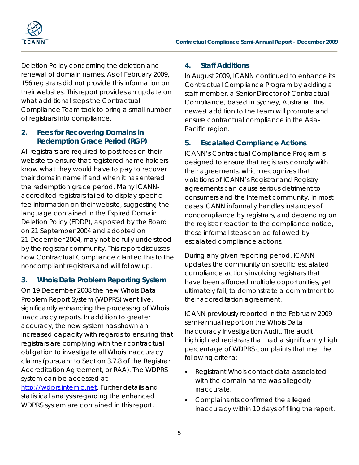

Deletion Policy concerning the deletion and renewal of domain names. As of February 2009, 156 registrars did not provide this information on their websites. This report provides an update on what additional steps the Contractual Compliance Team took to bring a small number of registrars into compliance.

# **2. Fees for Recovering Domains in Redemption Grace Period (RGP)**

All registrars are required to post fees on their website to ensure that registered name holders know what they would have to pay to recover their domain name if and when it has entered the redemption grace period. Many ICANNaccredited registrars failed to display specific fee information on their website, suggesting the language contained in the Expired Domain Deletion Policy (EDDP), as posted by the Board on 21 September 2004 and adopted on 21 December 2004, may not be fully understood by the registrar community. This report discusses how Contractual Compliance clarified this to the noncompliant registrars and will follow up.

# **3. Whois Data Problem Reporting System**

On 19 December 2008 the new Whois Data Problem Report System (WDPRS) went live, significantly enhancing the processing of Whois inaccuracy reports. In addition to greater accuracy, the new system has shown an increased capacity with regards to ensuring that registrars are complying with their contractual obligation to investigate all Whois inaccuracy claims (pursuant to Section 3.7.8 of the Registrar Accreditation Agreement, or RAA). The WDPRS system can be accessed at [http://wdprs.internic.net.](http://wdprs.internic.net/) Further details and statistical analysis regarding the enhanced WDPRS system are contained in this report.

# **4. Staff Additions**

In August 2009, ICANN continued to enhance its Contractual Compliance Program by adding a staff member, a Senior Director of Contractual Compliance, based in Sydney, Australia. This newest addition to the team will promote and ensure contractual compliance in the Asia-Pacific region.

# **5. Escalated Compliance Actions**

ICANN's Contractual Compliance Program is designed to ensure that registrars comply with their agreements, which recognizes that violations of ICANN's Registrar and Registry agreements can cause serious detriment to consumers and the Internet community. In most cases ICANN informally handles instances of noncompliance by registrars, and depending on the registrar reaction to the compliance notice, these informal steps can be followed by escalated compliance actions.

During any given reporting period, ICANN updates the community on specific escalated compliance actions involving registrars that have been afforded multiple opportunities, yet ultimately fail, to demonstrate a commitment to their accreditation agreement.

ICANN previously reported in the February 2009 semi-annual report on the Whois Data Inaccuracy Investigation Audit. The audit highlighted registrars that had a significantly high percentage of WDPRS complaints that met the following criteria:

- Registrant Whois contact data associated with the domain name was allegedly inaccurate.
- Complainants confirmed the alleged inaccuracy within 10 days of filing the report.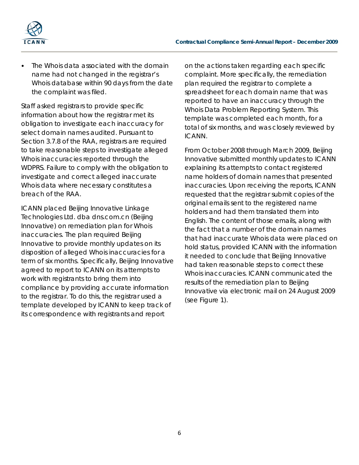

The Whois data associated with the domain name had not changed in the registrar's Whois database within 90 days from the date the complaint was filed.

Staff asked registrars to provide specific information about how the registrar met its obligation to investigate each inaccuracy for select domain names audited. Pursuant to Section 3.7.8 of the RAA, registrars are required to take reasonable steps to investigate alleged Whois inaccuracies reported through the WDPRS. Failure to comply with the obligation to investigate and correct alleged inaccurate Whois data where necessary constitutes a breach of the RAA.

ICANN placed Beijing Innovative Linkage Technologies Ltd. dba dns.com.cn (Beijing Innovative) on remediation plan for Whois inaccuracies. The plan required Beijing Innovative to provide monthly updates on its disposition of alleged Whois inaccuracies for a term of six months. Specifically, Beijing Innovative agreed to report to ICANN on its attempts to work with registrants to bring them into compliance by providing accurate information to the registrar. To do this, the registrar used a template developed by ICANN to keep track of its correspondence with registrants and report

on the actions taken regarding each specific complaint. More specifically, the remediation plan required the registrar to complete a spreadsheet for each domain name that was reported to have an inaccuracy through the Whois Data Problem Reporting System. This template was completed each month, for a total of six months, and was closely reviewed by ICANN.

From October 2008 through March 2009, Beijing Innovative submitted monthly updates to ICANN explaining its attempts to contact registered name holders of domain names that presented inaccuracies. Upon receiving the reports, ICANN requested that the registrar submit copies of the original emails sent to the registered name holders and had them translated them into English. The content of those emails, along with the fact that a number of the domain names that had inaccurate Whois data were placed on hold status, provided ICANN with the information it needed to conclude that Beijing Innovative had taken reasonable steps to correct these Whois inaccuracies. ICANN communicated the results of the remediation plan to Beijing Innovative via electronic mail on 24 August 2009 (see Figure 1).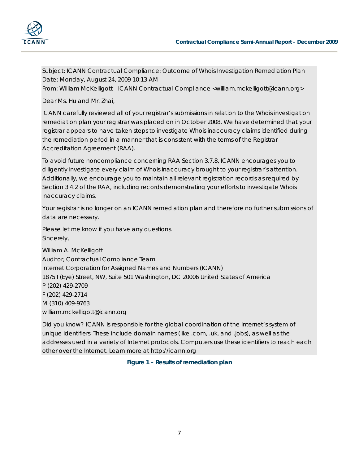



Subject: ICANN Contractual Compliance: Outcome of Whois Investigation Remediation Plan Date: Monday, August 24, 2009 10:13 AM

From: William McKelligott-- ICANN Contractual Compliance <william.mckelligott@icann.org>

Dear Ms. Hu and Mr. Zhai,

ICANN carefully reviewed all of your registrar's submissions in relation to the Whois investigation remediation plan your registrar was placed on in October 2008. We have determined that your registrar appears to have taken steps to investigate Whois inaccuracy claims identified during the remediation period in a manner that is consistent with the terms of the Registrar Accreditation Agreement (RAA).

To avoid future noncompliance concerning RAA Section 3.7.8, ICANN encourages you to diligently investigate every claim of Whois inaccuracy brought to your registrar's attention. Additionally, we encourage you to maintain all relevant registration records as required by Section 3.4.2 of the RAA, including records demonstrating your efforts to investigate Whois inaccuracy claims.

Your registrar is no longer on an ICANN remediation plan and therefore no further submissions of data are necessary.

Please let me know if you have any questions. Sincerely,

William A. McKelligott Auditor, Contractual Compliance Team Internet Corporation for Assigned Names and Numbers (ICANN) 1875 I (Eye) Street, NW, Suite 501 Washington, DC 20006 United States of America P (202) 429-2709 F (202) 429-2714 M (310) 409-9763 william.mckelligott@icann.org

Did you know? ICANN is responsible for the global coordination of the Internet's system of unique identifiers. These include domain names (like .com, .uk, and .jobs), as well as the addresses used in a variety of Internet protocols. Computers use these identifiers to reach each other over the Internet. Learn more at http://icann.org

**Figure 1 – Results of remediation plan**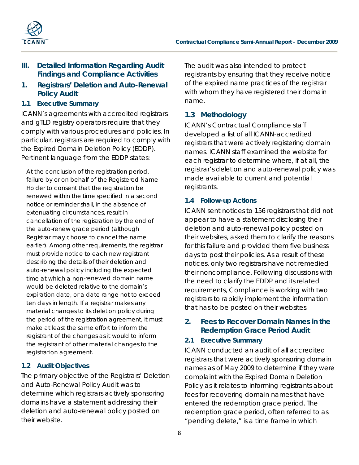

# **III. Detailed Information Regarding Audit Findings and Compliance Activities**

**1. Registrars' Deletion and Auto-Renewal Policy Audit**

#### **1.1 Executive Summary**

ICANN's agreements with accredited registrars and gTLD registry operators require that they comply with various procedures and policies. In particular, registrars are required to comply with the Expired Domain Deletion Policy (EDDP). Pertinent language from the EDDP states:

*At the conclusion of the registration period, failure by or on behalf of the Registered Name Holder to consent that the registration be renewed within the time specified in a second notice or reminder shall, in the absence of extenuating circumstances, result in cancellation of the registration by the end of the auto*‐*renew grace period (although Registrar may choose to cancel the name earlier). Among other requirements, the registrar must provide notice to each new registrant describing the details of their deletion and auto*‐*renewal policy including the expected time at which a non*‐*renewed domain name would be deleted relative to the domain's expiration date, or a date range not to exceed ten days in length. If a registrar makes any material changes to its deletion policy during the period of the registration agreement, it must make at least the same effort to inform the registrant of the changes as it would to inform the registrant of other material changes to the registration agreement.*

#### **1.2 Audit Objectives**

The primary objective of the Registrars' Deletion and Auto-Renewal Policy Audit was to determine which registrars actively sponsoring domains have a statement addressing their deletion and auto-renewal policy posted on their website.

The audit was also intended to protect registrants by ensuring that they receive notice of the expired name practices of the registrar with whom they have registered their domain name.

# **1.3 Methodology**

ICANN's Contractual Compliance staff developed a list of all ICANN‐accredited registrars that were actively registering domain names. ICANN staff examined the website for each registrar to determine where, if at all, the registrar's deletion and auto-renewal policy was made available to current and potential registrants.

#### **1.4 Follow-up Actions**

ICANN sent notices to 156 registrars that did not appear to have a statement disclosing their deletion and auto-renewal policy posted on their websites, asked them to clarify the reasons for this failure and provided them five business days to post their policies. As a result of these notices, only two registrars have not remedied their noncompliance. Following discussions with the need to clarify the EDDP and its related requirements, Compliance is working with two registrars to rapidly implement the information that has to be posted on their websites.

# **2. Fees to Recover Domain Names in the Redemption Grace Period Audit**

#### **2.1 Executive Summary**

ICANN conducted an audit of all accredited registrars that were actively sponsoring domain names as of May 2009 to determine if they were complaint with the Expired Domain Deletion Policy as it relates to informing registrants about fees for recovering domain names that have entered the redemption grace period. The redemption grace period, often referred to as "pending delete," is a time frame in which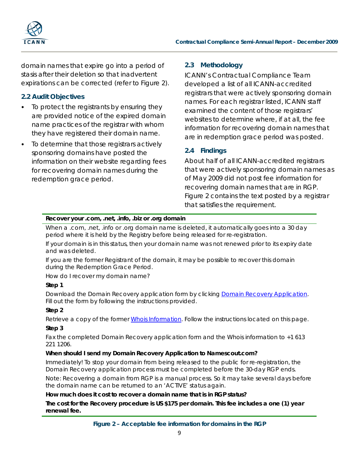

domain names that expire go into a period of stasis after their deletion so that inadvertent expirations can be corrected (refer to Figure 2).

# **2.2 Audit Objectives**

- To protect the registrants by ensuring they are provided notice of the expired domain name practices of the registrar with whom they have registered their domain name.
- To determine that those registrars actively sponsoring domains have posted the information on their website regarding fees for recovering domain names during the redemption grace period.

## **2.3 Methodology**

ICANN's Contractual Compliance Team developed a list of all ICANN-accredited registrars that were actively sponsoring domain names. For each registrar listed, ICANN staff examined the content of those registrars' websites to determine where, if at all, the fee information for recovering domain names that are in redemption grace period was posted.

# **2.4 Findings**

About half of all ICANN-accredited registrars that were actively sponsoring domain names as of May 2009 did not post fee information for recovering domain names that are in RGP. Figure 2 contains the text posted by a registrar that satisfies the requirement.

#### **Recover your .com, .net, .info, .biz or .org domain**

When a .com, .net, .info or .org domain name is deleted, it automatically goes into a 30 day period where it is held by the Registry before being released for re-registration.

If your domain is in this status, then your domain name was not renewed prior to its expiry date and was deleted.

If you are the former Registrant of the domain, it may be possible to recover this domain during the Redemption Grace Period.

How do I recover my domain name?

#### **Step 1**

Download the Domain Recovery application form by clickin[g Domain Recovery Application.](http://www.namescout.com/recovery/namescout_rgp.pdf) Fill out the form by following the instructions provided.

#### **Step 2**

Retrieve a copy of the former [Whois Information.](http://www.namescout.com/recovery/whois_rgp.asp) Follow the instructions located on this page.

#### **Step 3**

Fax the completed Domain Recovery application form and the Whois information to +1 613 221 1206.

#### **When should I send my Domain Recovery Application to Namescout.com?**

Immediately! To stop your domain from being released to the public for re-registration, the Domain Recovery application process must be completed before the 30-day RGP ends.

Note: Recovering a domain from RGP is a manual process. So it may take several days before the domain name can be returned to an 'ACTIVE' status again.

#### **How much does it cost to recover a domain name that is in RGP status?**

**The cost for the Recovery procedure is US \$175 per domain. This fee includes a one (1) year renewal fee.**

**Figure 2 – Acceptable fee information for domains in the RGP**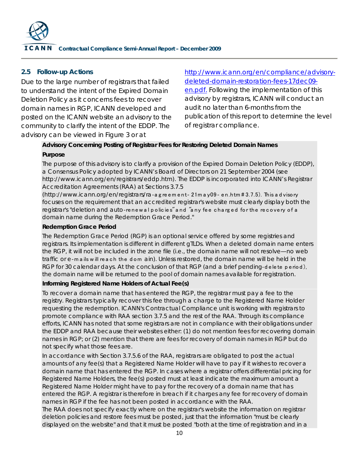

#### **2.5 Follow-up Actions**

Due to the large number of registrars that failed to understand the intent of the Expired Domain Deletion Policy as it concerns fees to recover domain names in RGP, ICANN developed and posted on the ICANN website an advisory to the community to clarify the intent of the EDDP. The advisory can be viewed in Figure 3 or at

[http://www.icann.org/en/compliance/advisory](http://www.icann.org/en/compliance/advisory-deleted-domain-restoration-fees-17dec09-en.pdf)[deleted-domain-restoration-fees-17dec09](http://www.icann.org/en/compliance/advisory-deleted-domain-restoration-fees-17dec09-en.pdf) [en.pdf.](http://www.icann.org/en/compliance/advisory-deleted-domain-restoration-fees-17dec09-en.pdf) Following the implementation of this advisory by registrars, ICANN will conduct an audit no later than 6-months from the publication of this report to determine the level of registrar compliance.

# **Advisory Concerning Posting of Registrar Fees for Restoring Deleted Domain Names**

#### **Purpose**

The purpose of this advisory is to clarify a provision of the Expired Domain Deletion Policy (EDDP), a Consensus Policy adopted by ICANN's Board of Directors on 21 September 2004 (see http://www.icann.org/en/registrars/eddp.htm). The EDDP is incorporated into ICANN's Registrar Accreditation Agreements (RAA) at Sections 3.7.5

(http://www.icann.org/en/registrars/ra‐a g re em e nt‐ 21m a y09‐ en.htm # 3.7.5). This a d visory focuses on the requirement that an accredited registrar's website must clearly display both the registrar's "deletion and auto-renew al policies" and "any fee charged for the recovery of a domain name during the Redemption Grace Period."

#### **Redemption Grace Period**

The Redemption Grace Period (RGP) is an optional service offered by some registries and registrars. Its implementation is different in different gTLDs. When a deleted domain name enters the RGP, it will not be included in the zone file (i.e., the domain name will not resolve—no web traffic or e-mails will reach the dom ain). Unless restored, the domain name will be held in the RGP for 30 calendar days. At the conclusion of that RGP (and a brief pending-delete period), the domain name will be returned to the pool of domain names available for registration.

#### **Informing Registered Name Holders of Actual Fee(s)**

To recover a domain name that has entered the RGP, the registrar must pay a fee to the registry. Registrars typically recover this fee through a charge to the Registered Name Holder requesting the redemption. ICANN's Contractual Compliance unit is working with registrars to promote compliance with RAA section 3.7.5 and the rest of the RAA. Through its compliance efforts, ICANN has noted that some registrars are not in compliance with their obligations under the EDDP and RAA because their websites either: (1) do not mention fees for recovering domain names in RGP; or (2) mention that there are fees for recovery of domain names in RGP but do not specify what those fees are.

In accordance with Section 3.7.5.6 of the RAA, registrars are obligated to post the actual amounts of any fee(s) that a Registered Name Holder will have to pay if it wishes to recover a domain name that has entered the RGP. In cases where a registrar offers differential pricing for Registered Name Holders, the fee(s) posted must at least indicate the maximum amount a Registered Name Holder might have to pay for the recovery of a domain name that has entered the RGP. A registrar is therefore in breach if it charges any fee for recovery of domain names in RGP if the fee has not been posted in accordance with the RAA.

The RAA does not specify exactly where on the registrar's website the information on registrar deletion policies and restore fees must be posted, just that the information "must be clearly displayed on the website" and that it must be posted "both at the time of registration and in a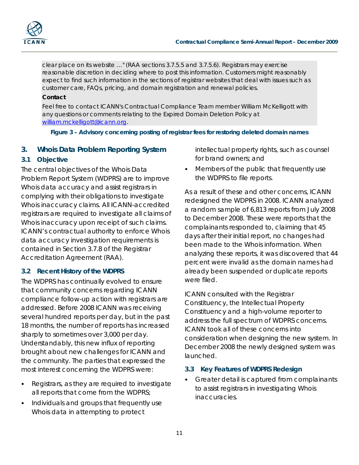

clear place on its website …" (RAA sections 3.7.5.5 and 3.7.5.6). Registrars may exercise reasonable discretion in deciding where to post this information. Customers might reasonably expect to find such information in the sections of registrar websites that deal with issues such as customer care, FAQs, pricing, and domain registration and renewal policies.

#### **Contact**

Feel free to contact ICANN's Contractual Compliance Team member William McKelligott with any questions or comments relating to the Expired Domain Deletion Policy at [william.mckelligott@icann.org.](mailto:william.mckelligott@icann.org)

#### **Figure 3 – Advisory concerning posting of registrar fees for restoring deleted domain names**

#### **3. Whois Data Problem Reporting System**

#### **3.1 Objective**

The central objectives of the Whois Data Problem Report System (WDPRS) are to improve Whois data accuracy and assist registrars in complying with their obligations to investigate Whois inaccuracy claims. All ICANN-accredited registrars are required to investigate all claims of Whois inaccuracy upon receipt of such claims. ICANN's contractual authority to enforce Whois data accuracy investigation requirements is contained in Section 3.7.8 of the Registrar Accreditation Agreement (RAA).

#### **3.2 Recent History of the WDPRS**

The WDPRS has continually evolved to ensure that community concerns regarding ICANN compliance follow-up action with registrars are addressed. Before 2008 ICANN was receiving several hundred reports per day, but in the past 18 months, the number of reports has increased sharply to sometimes over 3,000 per day. Understandably, this new influx of reporting brought about new challenges for ICANN and the community. The parties that expressed the most interest concerning the WDPRS were:

- Registrars, as they are required to investigate all reports that come from the WDPRS;
- Individuals and groups that frequently use Whois data in attempting to protect

intellectual property rights, such as counsel for brand owners; and

• Members of the public that frequently use the WDPRS to file reports.

As a result of these and other concerns, ICANN redesigned the WDPRS in 2008. ICANN analyzed a random sample of 6,813 reports from July 2008 to December 2008. These were reports that the complainants responded to, claiming that 45 days after their initial report, no changes had been made to the Whois information. When analyzing these reports, it was discovered that 44 percent were invalid as the domain names had already been suspended or duplicate reports were filed.

ICANN consulted with the Registrar Constituency, the Intellectual Property Constituency and a high-volume reporter to address the full spectrum of WDPRS concerns. ICANN took all of these concerns into consideration when designing the new system. In December 2008 the newly designed system was launched.

#### **3.3 Key Features of WDPRS Redesign**

• Greater detail is captured from complainants to assist registrars in investigating Whois inaccuracies.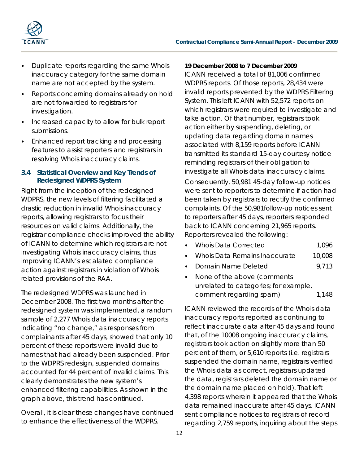

- Duplicate reports regarding the same Whois inaccuracy category for the same domain name are not accepted by the system.
- Reports concerning domains already on hold are not forwarded to registrars for investigation.
- Increased capacity to allow for bulk report submissions.
- Enhanced report tracking and processing features to assist reporters and registrars in resolving Whois inaccuracy claims.

#### **3.4 Statistical Overview and Key Trends of Redesigned WDPRS System**

Right from the inception of the redesigned WDPRS, the new levels of filtering facilitated a drastic reduction in invalid Whois inaccuracy reports, allowing registrars to focus their resources on valid claims. Additionally, the registrar compliance checks improved the ability of ICANN to determine which registrars are not investigating Whois inaccuracy claims, thus improving ICANN's escalated compliance action against registrars in violation of Whois related provisions of the RAA.

The redesigned WDPRS was launched in December 2008. The first two months after the redesigned system was implemented, a random sample of 2,277 Whois data inaccuracy reports indicating "no change," as responses from complainants after 45 days, showed that only 10 percent of these reports were invalid due to names that had already been suspended. Prior to the WDPRS redesign, suspended domains accounted for 44 percent of invalid claims. This clearly demonstrates the new system's enhanced filtering capabilities. As shown in the graph above, this trend has continued.

Overall, it is clear these changes have continued to enhance the effectiveness of the WDPRS.

#### **19 December 2008 to 7 December 2009**

ICANN received a total of 81,006 confirmed WDPRS reports. Of those reports, 28,434 were invalid reports prevented by the WDPRS Filtering System. This left ICANN with 52,572 reports on which registrars were required to investigate and take action. Of that number, registrars took action either by suspending, deleting, or updating data regarding domain names associated with 8,159 reports before ICANN transmitted its standard 15-day courtesy notice reminding registrars of their obligation to investigate all Whois data inaccuracy claims.

Consequently, 50,981 45-day follow-up notices were sent to reporters to determine if action had been taken by registrars to rectify the confirmed complaints. Of the 50,981follow-up notices sent to reporters after 45 days, reporters responded back to ICANN concerning 21,965 reports. Reporters revealed the following:

- Whois Data Remains Inaccurate 10,008
- **Domain Name Deleted** 9.713
- None of the above (comments unrelated to categories; for example, comment regarding spam) 1,148

ICANN reviewed the records of the Whois data inaccuracy reports reported as continuing to reflect inaccurate data after 45 days and found that, of the 10008 ongoing inaccuracy claims, registrars took action on slightly more than 50 percent of them, or 5,610 reports (i.e. registrars suspended the domain name, registrars verified the Whois data as correct, registrars updated the data, registrars deleted the domain name or the domain name placed on hold). That left 4,398 reports wherein it appeared that the Whois data remained inaccurate after 45 days. ICANN sent compliance notices to registrars of record regarding 2,759 reports, inquiring about the steps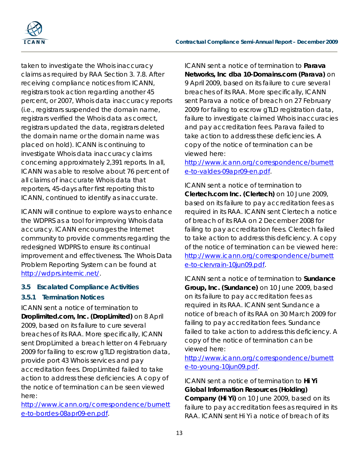

taken to investigate the Whois inaccuracy claims as required by RAA Section 3. 7.8. After receiving compliance notices from ICANN, registrars took action regarding another 45 percent, or 2007, Whois data inaccuracy reports (i.e., registrars suspended the domain name, registrars verified the Whois data as correct, registrars updated the data, registrars deleted the domain name or the domain name was placed on hold). ICANN is continuing to investigate Whois data inaccuracy claims concerning approximately 2,391 reports. In all, ICANN was able to resolve about 76 percent of all claims of inaccurate Whois data that reporters, 45-days after first reporting this to ICANN, continued to identify as inaccurate.

ICANN will continue to explore ways to enhance the WDPRS as a tool for improving Whois data accuracy. ICANN encourages the Internet community to provide comments regarding the redesigned WDPRS to ensure its continual improvement and effectiveness. The Whois Data Problem Reporting System can be found at [http://wdprs.internic.net/.](http://wdprs.internic.net/)

# **3.5 Escalated Compliance Activities**

# *3.5.1 Termination Notices*

ICANN sent a notice of termination to **Droplimited.com, Inc. (DropLimited)** on 8 April 2009, based on its failure to cure several breaches of its RAA. More specifically, ICANN sent DropLimited a breach letter on 4 February 2009 for failing to escrow gTLD registration data, provide port 43 Whois services and pay accreditation fees. DropLimited failed to take action to address these deficiencies. A copy of the notice of termination can be seen viewed here:

[http://www.icann.org/correspondence/burnett](http://www.icann.org/correspondence/burnette-to-bordes-08apr09-en.pdf) [e-to-bordes-08apr09-en.pdf.](http://www.icann.org/correspondence/burnette-to-bordes-08apr09-en.pdf)

ICANN sent a notice of termination to **Parava Networks, Inc dba 10-Domains.com (Parava)** on 9 April 2009, based on its failure to cure several breaches of its RAA. More specifically, ICANN sent Parava a notice of breach on 27 February 2009 for failing to escrow gTLD registration data, failure to investigate claimed Whois inaccuracies and pay accreditation fees. Parava failed to take action to address these deficiencies. A copy of the notice of termination can be viewed here:

[http://www.icann.org/correspondence/burnett](http://www.icann.org/correspondence/burnette-to-valdes-09apr09-en.pdf) [e-to-valdes-09apr09-en.pdf.](http://www.icann.org/correspondence/burnette-to-valdes-09apr09-en.pdf)

ICANN sent a notice of termination to **Clertech.com Inc. (Clertech)** on 10 June 2009, based on its failure to pay accreditation fees as required in its RAA. ICANN sent Clertech a notice of breach of its RAA on 2 December 2008 for failing to pay accreditation fees. Clertech failed to take action to address this deficiency. A copy of the notice of termination can be viewed here: [http://www.icann.org/correspondence/burnett](http://www.icann.org/correspondence/burnette-to-clervrain-10jun09.pdf) [e-to-clervrain-10jun09.pdf.](http://www.icann.org/correspondence/burnette-to-clervrain-10jun09.pdf)

ICANN sent a notice of termination to **Sundance Group, Inc. (Sundance)** on 10 June 2009, based on its failure to pay accreditation fees as required in its RAA. ICANN sent Sundance a notice of breach of its RAA on 30 March 2009 for failing to pay accreditation fees. Sundance failed to take action to address this deficiency. A copy of the notice of termination can be viewed here:

[http://www.icann.org/correspondence/burnett](http://www.icann.org/correspondence/burnette-to-young-10jun09.pdf) [e-to-young-10jun09.pdf.](http://www.icann.org/correspondence/burnette-to-young-10jun09.pdf)

ICANN sent a notice of termination to **Hi Yi Global Information Resources (Holding) Company (Hi Yi)** on 10 June 2009, based on its failure to pay accreditation fees as required in its RAA. ICANN sent Hi Yi a notice of breach of its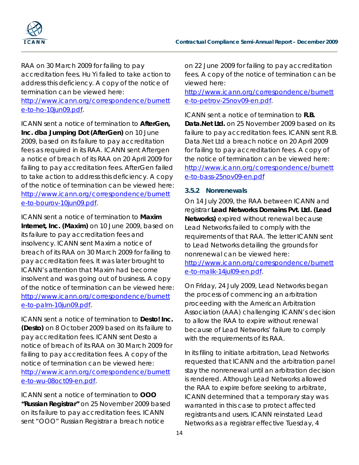

RAA on 30 March 2009 for failing to pay accreditation fees. Hu Yi failed to take action to address this deficiency. A copy of the notice of termination can be viewed here:

[http://www.icann.org/correspondence/burnett](http://www.icann.org/correspondence/burnette-to-ho-10jun09.pdf) [e-to-ho-10jun09.pdf.](http://www.icann.org/correspondence/burnette-to-ho-10jun09.pdf)

ICANN sent a notice of termination to **AfterGen, Inc. dba Jumping Dot (AfterGen)** on 10 June 2009, based on its failure to pay accreditation fees as required in its RAA. ICANN sent Aftergen a notice of breach of its RAA on 20 April 2009 for failing to pay accreditation fees. AfterGen failed to take action to address this deficiency. A copy of the notice of termination can be viewed here: [http://www.icann.org/correspondence/burnett](http://www.icann.org/correspondence/burnette-to-bourov-10jun09.pdf) [e-to-bourov-10jun09.pdf.](http://www.icann.org/correspondence/burnette-to-bourov-10jun09.pdf)

ICANN sent a notice of termination to **Maxim Internet, Inc. (Maxim)** on 10 June 2009, based on its failure to pay accreditation fees and insolvency. ICANN sent Maxim a notice of breach of its RAA on 30 March 2009 for failing to pay accreditation fees. It was later brought to ICANN's attention that Maxim had become insolvent and was going out of business. A copy of the notice of termination can be viewed here: [http://www.icann.org/correspondence/burnett](http://www.icann.org/correspondence/burnette-to-palm-10jun09.pdf) [e-to-palm-10jun09.pdf.](http://www.icann.org/correspondence/burnette-to-palm-10jun09.pdf)

ICANN sent a notice of termination to **Desto! Inc. (Desto)** on 8 October 2009 based on its failure to pay accreditation fees. ICANN sent Desto a notice of breach of its RAA on 30 March 2009 for failing to pay accreditation fees. A copy of the notice of termination can be viewed here: [http://www.icann.org/correspondence/burnett](http://www.icann.org/correspondence/burnette-to-wu-08oct09-en.pdf) [e-to-wu-08oct09-en.pdf.](http://www.icann.org/correspondence/burnette-to-wu-08oct09-en.pdf)

ICANN sent a notice of termination to **OOO "Russian Registrar"** on 25 November 2009 based on its failure to pay accreditation fees. ICANN sent "OOO" Russian Registrar a breach notice

on 22 June 2009 for failing to pay accreditation fees. A copy of the notice of termination can be viewed here:

[http://www.icann.org/correspondence/burnett](http://www.icann.org/correspondence/burnette-to-petrov-25nov09-en.pdf) [e-to-petrov-25nov09-en.pdf.](http://www.icann.org/correspondence/burnette-to-petrov-25nov09-en.pdf)

ICANN sent a notice of termination to **R.B. Data.Net Ltd.** on 25 November 2009 based on its failure to pay accreditation fees. ICANN sent R.B. Data.Net Ltd a breach notice on 20 April 2009 for failing to pay accreditation fees. A copy of the notice of termination can be viewed here: [http://www.icann.org/correspondence/burnett](http://www.icann.org/correspondence/burnette-to-bass-25nov09-en.pdf) [e-to-bass-25nov09-en.pdf](http://www.icann.org/correspondence/burnette-to-bass-25nov09-en.pdf)

#### *3.5.2 Nonrenewals*

On 14 July 2009, the RAA between ICANN and registrar **Lead Networks Domains Pvt. Ltd. (Lead Networks)** expired without renewal because Lead Networks failed to comply with the requirements of that RAA. The letter ICANN sent to Lead Networks detailing the grounds for nonrenewal can be viewed here:

[http://www.icann.org/correspondence/burnett](http://www.icann.org/correspondence/burnette-to-malik-14jul09-en.pdf) [e-to-malik-14jul09-en.pdf.](http://www.icann.org/correspondence/burnette-to-malik-14jul09-en.pdf)

On Friday, 24 July 2009, Lead Networks began the process of commencing an arbitration proceeding with the American Arbitration Association (AAA) challenging ICANN's decision to allow the RAA to expire without renewal because of Lead Networks' failure to comply with the requirements of its RAA.

In its filing to initiate arbitration, Lead Networks requested that ICANN and the arbitration panel stay the nonrenewal until an arbitration decision is rendered. Although Lead Networks allowed the RAA to expire before seeking to arbitrate, ICANN determined that a temporary stay was warranted in this case to protect affected registrants and users. ICANN reinstated Lead Networks as a registrar effective Tuesday, 4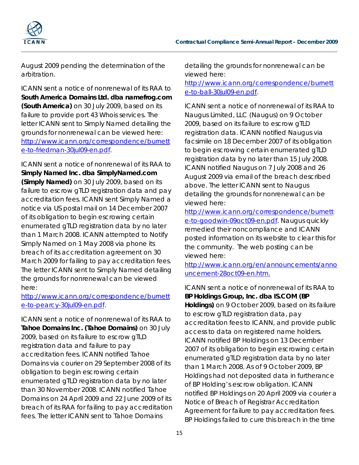

August 2009 pending the determination of the arbitration.

ICANN sent a notice of nonrenewal of its RAA to **South America Domains Ltd. dba namefrog.com (South America)** on 30 July 2009, based on its failure to provide port 43 Whois services. The letter ICANN sent to Simply Named detailing the grounds for nonrenewal can be viewed here: [http://www.icann.org/correspondence/burnett](http://www.icann.org/correspondence/burnette-to-friedman-30jul09-en.pdf) [e-to-friedman-30jul09-en.pdf.](http://www.icann.org/correspondence/burnette-to-friedman-30jul09-en.pdf)

ICANN sent a notice of nonrenewal of its RAA to **Simply Named Inc. dba SimplyNamed.com (Simply Named)** on 30 July 2009, based on its failure to escrow gTLD registration data and pay accreditation fees. ICANN sent Simply Named a notice via US postal mail on 14 December 2007 of its obligation to begin escrowing certain enumerated gTLD registration data by no later than 1 March 2008. ICANN attempted to Notify Simply Named on 1 May 2008 via phone its breach of its accreditation agreement on 30 March 2009 for failing to pay accreditation fees. The letter ICANN sent to Simply Named detailing the grounds for nonrenewal can be viewed here:

[http://www.icann.org/correspondence/burnett](http://www.icann.org/correspondence/burnette-to-pearcy-30jul09-en.pdf) [e-to-pearcy-30jul09-en.pdf.](http://www.icann.org/correspondence/burnette-to-pearcy-30jul09-en.pdf)

ICANN sent a notice of nonrenewal of its RAA to **Tahoe Domains Inc. (Tahoe Domains)** on 30 July 2009, based on its failure to escrow gTLD registration data and failure to pay accreditation fees. ICANN notified Tahoe Domains via courier on 29 September 2008 of its obligation to begin escrowing certain enumerated gTLD registration data by no later than 30 November 2008. ICANN notified Tahoe Domains on 24 April 2009 and 22 June 2009 of its breach of its RAA for failing to pay accreditation fees. The letter ICANN sent to Tahoe Domains

detailing the grounds for nonrenewal can be viewed here:

[http://www.icann.org/correspondence/burnett](http://www.icann.org/correspondence/burnette-to-ball-30jul09-en.pdf) [e-to-ball-30jul09-en.pdf.](http://www.icann.org/correspondence/burnette-to-ball-30jul09-en.pdf)

ICANN sent a notice of nonrenewal of its RAA to Naugus Limited, LLC (Naugus) on 9 October 2009, based on its failure to escrow gTLD registration data. ICANN notified Naugus via facsimile on 18 December 2007 of its obligation to begin escrowing certain enumerated gTLD registration data by no later than 15 July 2008. ICANN notified Naugus on 7 July 2008 and 26 August 2009 via email of the breach described above. The letter ICANN sent to Naugus detailing the grounds for nonrenewal can be viewed here:

[http://www.icann.org/correspondence/burnett](http://www.icann.org/correspondence/burnette-to-goodwin-09oct09-en.pdf) [e-to-goodwin-09oct09-en.pdf.](http://www.icann.org/correspondence/burnette-to-goodwin-09oct09-en.pdf) Naugus quickly remedied their noncompliance and ICANN posted information on its website to clear this for the community. The web posting can be viewed here:

[http://www.icann.org/en/announcements/anno](http://www.icann.org/en/announcements/announcement-28oct09-en.htm) [uncement-28oct09-en.htm.](http://www.icann.org/en/announcements/announcement-28oct09-en.htm)

ICANN sent a notice of nonrenewal of its RAA to **BP Holdings Group, Inc. dba IS.COM (BP Holdings)** on 9 October 2009, based on its failure to escrow gTLD registration data, pay accreditation fees to ICANN, and provide public access to data on registered name holders. ICANN notified BP Holdings on 13 December 2007 of its obligation to begin escrowing certain enumerated gTLD registration data by no later than 1 March 2008. As of 9 October 2009, BP Holdings had not deposited data in furtherance of BP Holding's escrow obligation. ICANN notified BP Holdings on 20 April 2009 via courier a Notice of Breach of Registrar Accreditation Agreement for failure to pay accreditation fees. BP Holdings failed to cure this breach in the time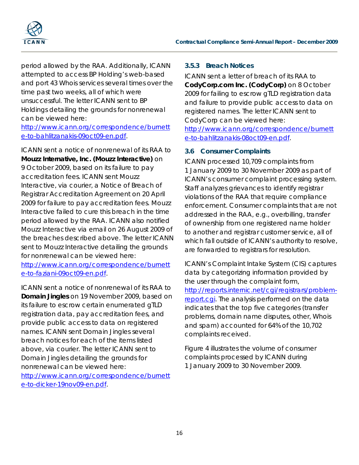

period allowed by the RAA. Additionally, ICANN attempted to access BP Holding's web-based and port 43 Whois services several times over the time past two weeks, all of which were unsuccessful. The letter ICANN sent to BP Holdings detailing the grounds for nonrenewal can be viewed here:

[http://www.icann.org/correspondence/burnett](http://www.icann.org/correspondence/burnette-to-bahlitzanakis-09oct09-en.pdf) [e-to-bahlitzanakis-09oct09-en.pdf.](http://www.icann.org/correspondence/burnette-to-bahlitzanakis-09oct09-en.pdf)

ICANN sent a notice of nonrenewal of its RAA to **Mouzz Internative, Inc. (Mouzz Interactive)** on 9 October 2009, based on its failure to pay accreditation fees. ICANN sent Mouzz Interactive, via courier, a Notice of Breach of Registrar Accreditation Agreement on 20 April 2009 for failure to pay accreditation fees. Mouzz Interactive failed to cure this breach in the time period allowed by the RAA. ICANN also notified Mouzz Interactive via email on 26 August 2009 of the breaches described above. The letter ICANN sent to Mouzz Interactive detailing the grounds for nonrenewal can be viewed here:

[http://www.icann.org/correspondence/burnett](http://www.icann.org/correspondence/burnette-to-faziani-09oct09-en.pdf) [e-to-faziani-09oct09-en.pdf.](http://www.icann.org/correspondence/burnette-to-faziani-09oct09-en.pdf)

ICANN sent a notice of nonrenewal of its RAA to **Domain Jingles** on 19 November 2009, based on its failure to escrow certain enumerated gTLD registration data, pay accreditation fees, and provide public access to data on registered names. ICANN sent Domain Jingles several breach notices for each of the items listed above, via courier. The letter ICANN sent to Domain Jingles detailing the grounds for nonrenewal can be viewed here: [http://www.icann.org/correspondence/burnett](http://www.icann.org/correspondence/burnette-to-dicker-19nov09-en.pdf) [e-to-dicker-19nov09-en.pdf.](http://www.icann.org/correspondence/burnette-to-dicker-19nov09-en.pdf)

#### *3.5.3 Breach Notices*

ICANN sent a letter of breach of its RAA to **CodyCorp.com Inc. (CodyCorp)** on 8 October 2009 for failing to escrow gTLD registration data and failure to provide public access to data on registered names. The letter ICANN sent to CodyCorp can be viewed here:

[http://www.icann.org/correspondence/burnett](http://www.icann.org/correspondence/burnette-to-bahlitzanakis-08oct09-en.pdf) [e-to-bahlitzanakis-08oct09-en.pdf.](http://www.icann.org/correspondence/burnette-to-bahlitzanakis-08oct09-en.pdf)

#### **3.6 Consumer Complaints**

ICANN processed 10,709 complaints from 1 January 2009 to 30 November 2009 as part of ICANN's consumer complaint processing system. Staff analyzes grievances to identify registrar violations of the RAA that require compliance enforcement. Consumer complaints that are not addressed in the RAA, e.g., overbilling, transfer of ownership from one registered name holder to another and registrar customer service, all of which fall outside of ICANN's authority to resolve, are forwarded to registrars for resolution.

ICANN's Complaint Intake System (CIS) captures data by categorizing information provided by the user through the complaint form, [http://reports.internic.net/cgi/registrars/problem](http://reports.internic.net/cgi/registrars/problem-report.cgi)[report.cgi.](http://reports.internic.net/cgi/registrars/problem-report.cgi) The analysis performed on the data indicates that the top five categories (transfer problems, domain name disputes, other, Whois and spam) accounted for 64% of the 10,702 complaints received.

Figure 4 illustrates the volume of consumer complaints processed by ICANN during 1 January 2009 to 30 November 2009.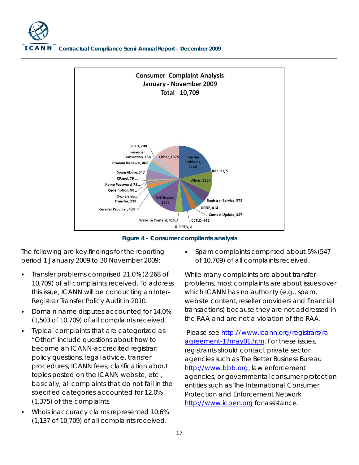

**Figure 4 – Consumer compliants analysis**

The following are key findings for the reporting period 1 January 2009 to 30 November 2009:

- Transfer problems comprised 21.0% (2,268 of 10,709) of all complaints received. To address this issue, ICANN will be conducting an Inter-Registrar Transfer Policy Audit in 2010.
- Domain name disputes accounted for 14.0% (1,503 of 10,709) of all complaints received.
- Typical complaints that are categorized as "Other" include questions about how to become an ICANN-accredited registrar, policy questions, legal advice, transfer procedures, ICANN fees, clarification about topics posted on the ICANN website, etc., basically, all complaints that do not fall in the specified categories accounted for 12.0% (1,375) of the complaints.
- Whois inaccuracy claims represented 10.6% (1,137 of 10,709) of all complaints received.

• Spam complaints comprised about 5% (547 of 10,709) of all complaints received.

While many complaints are about transfer problems, most complaints are about issues over which ICANN has no authority (e.g., spam, website content, reseller providers and financial transactions) because they are not addressed in the RAA and are not a violation of the RAA.

Please see [http://www.icann.org/registrars/ra](http://www.icann.org/registrars/ra-agreement-17may01.htm)[agreement-17may01.htm.](http://www.icann.org/registrars/ra-agreement-17may01.htm) For these issues, registrants should contact private sector agencies such as The Better Business Bureau [http://www.bbb.org,](http://www.bbb.org/) law enforcement agencies, or governmental consumer protection entities such as The International Consumer Protection and Enforcement Network [http://www.icpen.org](http://www.icpen.org/) for assistance.